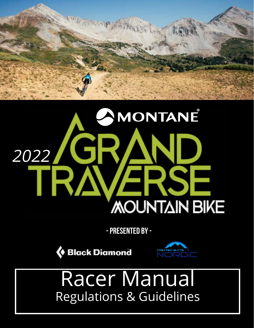

# MONTANE 2022/GRAND **MOUNTAIN BIKE**

**- PRESENTED BY -**

**Black Diamond** 



# Racer Manual Regulations & Guidelines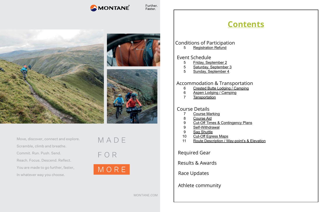MONTANE

Further. Faster.



MONTANE.COM

Move, discover, connect and explore. Scramble, climb and breathe. Commit. Run. Push. Send. Reach. Focus. Descend. Reflect. You are made to go further, faster, In whatever way you choose.



- 5 [Friday, September 2](#page-3-0)
- 5 [Saturday,](#page-3-0) September [3](#page-3-0)<br>5 Sunday, September 4
- [Sunday, September 4](#page-3-0)



 [Conditions of Participation](#page-2-0)

- 6 [Crested Butte Lodging / Camping](#page-3-0)
- 6 [Aspen Lodging / Camping](#page-3-0)
- 7 [Tansportation](#page-4-0)

- 7 [Course Marking](#page-4-0)
- 8 [Course Aid](#page-4-0)
- 9 [Cut-Off Times & Contingency Plans](#page-5-0)
- 9 [Self-Withdrawal](#page-5-0)
- 9 [Sag Shuttle](#page-5-0)<br>10 Cut-Off Egre
- [Cut-Off Egress Maps](#page-5-0)
- 11 [Route Description / Way-point's & Elevation](#page-6-0)

5 [Registration Refund](#page-3-0)

#### [Event Schedule](#page-3-0)

#### [Accommodation](#page-3-0) & Transportation

#### [Course Details](#page-4-0)

[Required Gear](#page-6-0)

Results & [Awards](#page-7-0)

[Race Updates](#page-7-0)

[Athlete community](#page-13-0)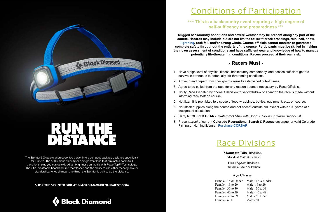

<span id="page-2-0"></span>(Black Diamond

The Sprinter 500 packs unprecedented power into a compact package designed specifically for runners. The 500 lumens shine from a single front lens that eliminates harsh trail transitions, plus you can quickly adjust brightness on the fly with PowerTap™ Technology. The ultra-breathable headband, red rear flasher, and the ability to use either rechargeable or standard batteries all mean one thing: the Sprinter is built to go the distance.

**SHOP THE SPRINTER 500 AT BLACKDIAMONDEQUIPMENT.COM**



# Conditions of Participation

#### **\*\*\* This is a backcountry event requring a high degree of self-sufficency and preparedness \*\*\***

 **Rugged backcountry conditions and severe weather may be present along any part of the course. Hazards may include but are not limited to: swift creek crossings, rain, hail, snow, [lightning](https://www.weather.gov/media/owlie/backcountry_lightning.pdf), rock fall, and/or strong winds. Course officials cannot monitor or guarantee complete safety throughout the entierty of the course. Participants must be skilled in making their own assessment of conditions and have sufficient gear and knowledge of how to manage potentially life-threatening conditions. Racers proceed at their own risk.**

Female- 19 to 29 Male- 19 to 29 Female - 30 to 39 Male - 30 to 39 Female - 40 to 49 Male - 40 to 49 Female - 50 to 59 Male - 50 to 59 Female  $-60+$  Male  $-60+$ 

#### **- Racers Must -**

1. Have a high level of physical fitness, backcountry competency, and posses sufficient gear to

4. Notify Race Dispatch by phone if decision to self-withdraw or abandon the race is made without

- survive in strenuous to potentially life-threatening conditions.
- 2. Arrive to and depart from checkpoints *prior* to established cut-off times.
- 3. Agree to be pulled from the race for any reason deemed necessary by Race Officials.
- informing race staff on course.
- 5. Not litter! It is prohibited to dispose of food wrappings, bottles, equipment, etc., on course.
- designated aid station.
- 7. Carry **REQUIRED GEAR** *Waterproof Shell with Hood / Gloves / Warm Hat or Buff.*
- Fishing or Hunting license. **[Purchase CORSAR](https://dola.colorado.gov/sar/orderInstructions.jsf)**

6. Not stash supplies along the course and not accept outside aid, except within 100 yards of a

8. Present *proof* of current **Colorado Recreational Search & Rescue** coverage, or valid Colorado

# Race Divisions

 **Mountain Bike Division** Individual Male & Female

 **Dual Sport Division** Individual Male & Female

#### **Age Classes**

Female - 18 & Under Male - 18 & Under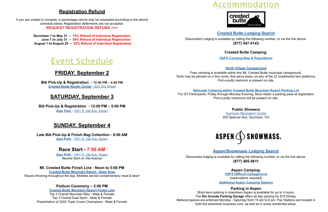### **Registration Refund**

<span id="page-3-0"></span>If you are unable to compete, a percentage refund may be requested according to the refund schedule below. Registration deferments are not accepted. **[REQUEST REGISTRATION REFUND >>](mailto:events%40cbnordic.org?subject=GT%20Refund%20Request)>**

> **[December 1 to May 31 – 75% Refund of Individual Registration](http://December 1st  to  May 31st  -  75% Refund of Individual Registration June 1st  to  July 31st  -  50%)  [June 1 to July 31 – 50% Refund of Individual Registration](http://December 1st  to  May 31st  -  75% Refund of Individual Registration June 1st  to  July 31st  -  50%)  [August 1 to August 20 – 25% Refund of Individual Registration](http://December 1st  to  May 31st  -  75% Refund of Individual Registration June 1st  to  July 31st  -  50%)**



### **FRIDAY, September 2**

**Bib Pick-Up & Registration - [12:00 PM – 6:00 PM](https://www.google.com/maps/place/Crested+Butte+Nordic/@38.8669387,-106.9867541,15z/data=!4m2!3m1!1s0x0:0x777ab0ffba88575?sa=X&ved=0ahUKEwi90PqE7ofXAhXJqlQKHaCEBdIQ_BIIgQEwDQ) [Crested Butte Nordic Center](https://www.google.com/maps/place/Crested+Butte+Nordic/@38.8669387,-106.9867541,15z/data=!4m2!3m1!1s0x0:0x777ab0ffba88575?sa=X&ved=0ahUKEwi90PqE7ofXAhXJqlQKHaCEBdIQ_BIIgQEwDQ)** - 620 2nd Street

### **SATURDAY, September 3**

**Bib Pick-Up & Registration - 12:00 PM – 5:00 PM [Ajax Park](https://www.bing.com/maps?&ty=18&q=Ajax%20Park%20Aspen%20CO&ss=ypid.YN873x110602220&ppois=39.1830406188965_-106.814903259277_Ajax%20Park_YN873x110602220~&cp=39.183041~-106.814903&v=2&sV=1)** - [1001 S. Ute Ave, Aspen](https://www.bing.com/maps?&ty=18&q=Ajax%20Park%20Aspen%20CO&ss=ypid.YN873x110602220&ppois=39.1830406188965_-106.814903259277_Ajax%20Park_YN873x110602220~&cp=39.183041~-106.814903&v=2&sV=1)

### **SUNDAY, September 4**

**Late Bib Pick-Up & Finish Bag Collection - 6:00 AM [Ajax Park](https://www.bing.com/maps?&ty=18&q=Ajax%20Park%20Aspen%20CO&ss=ypid.YN873x110602220&ppois=39.1830406188965_-106.814903259277_Ajax%20Park_YN873x110602220~&cp=39.183041~-106.814903&v=2&sV=1)** - [1001 S. Ute Ave, Aspen](https://www.bing.com/maps?&ty=18&q=Ajax%20Park%20Aspen%20CO&ss=ypid.YN873x110602220&ppois=39.1830406188965_-106.814903259277_Ajax%20Park_YN873x110602220~&cp=39.183041~-106.814903&v=2&sV=1)

### **Race Start - 7:00 AM**

**[Ajax Park](https://www.bing.com/maps?&ty=18&q=Ajax%20Park%20Aspen%20CO&ss=ypid.YN873x110602220&ppois=39.1830406188965_-106.814903259277_Ajax%20Park_YN873x110602220~&cp=39.183041~-106.814903&v=2&sV=1)** - [1001 S. Ute Ave, Aspen](https://www.bing.com/maps?&ty=18&q=Ajax%20Park%20Aspen%20CO&ss=ypid.YN873x110602220&ppois=39.1830406188965_-106.814903259277_Ajax%20Park_YN873x110602220~&cp=39.183041~-106.814903&v=2&sV=1) Neutral Start on Ute Avenue

**Mt. Crested Butte Finish Line - Noon to 5:00 PM [Crested Butte Mountain Resort - Base](https://www.bing.com/maps?q=crested+butte+mountain+resort&FORM=HDRSC4) Area** [Racers finishing throughout the day. Athletes served complimentary meal & beer!](http://Racers finishing throughout the day. ) 

**Podium Ceremony ~ 2:00 PM**

**[Crested Butte Mountain Resort](https://www.bing.com/maps?q=crested+butte+mountain+resort&FORM=HDRSC4) Finish Line** Top 3 Overall Mountain Bike - Male & Female Top 3 Overall Dual Sport - Male & Female Presentation of 2022 Triple Crown Champions - Male & Female

# Accommodation

#### **[Crested Butte Lodging Search](https://thegrandtraverse.org/summer-lodging/)**

Discounted Lodging is available by calling the following number, or via the link above. **(877) 547-5143**

#### **Crested Butte Camping:**

**USFS [Camping Map & Regulations](https://crestedbuttemountainbike.com/camping/)**

#### **[North Village Campground](https://www.google.com/maps/place/38%C2%B054)**

Free camping is available within this Mt. Crested Butte municipal campground. Tents may be pitched on a first come, first serve basis, on any of the 22 established tent platforms. Port-a-potty restroom is present on site.

**[Vehicular Camping within Crested Butte Mountain Resort Parking Lot](https://drive.google.com/file/d/1tP1Dh_8EyiIsb2qhLtuv7lSlEjRErd-v/view?usp=sharing)** For GT Participants. Friday through Monday Evening. Must obtain a parking pass at registration Port-a-potty restrooms will be present on site.



#### **Public Showers** [Gunnison Recreation Center](http://www.gunnisonco.gov/departments/parks_and_recreation/index.php) 200 Spencer Ave, Gunnison, CO

#### **[Aspen/Snowmass](https://shop.stayaspensnowmass.com/v2/lodging-offers/promo-code?package=55212&code=grandtraverse&NCK=8774055611) Lodging Search**

Discounted lodging is available by calling the following number, or via the link above. **(877) 405-5611**

> **Aspen Camping: [USFS Difficult Campground](https://www.recreation.gov/camping/campgrounds/231880)** (r[es](http://activities.wildernet.com/pages/activity.cfm?actid=0215014525cg&CU_ID=1)ervations required) **Additional Aspen [Camping Options](https://www.aspenchamber.org/explore-aspen/recreation/camping-rvs)**

**Parking in [Aspen](https://binged.it/2tvZYWe)** [Short-term parking in downtown Aspen is available for up to 4 hours.](https://binged.it/2tvZYWe)  The **Rio Grande Parking Garage** [offers all day parking for \\$15.00/day.](https://binged.it/2tvZYWe)  [Metered spaces are enforced Monday - Saturday from 10 am to 6 pm](https://binged.it/2tvZYWe). Pay Stations are located in both the downtown business core, as well as in some residential areas.

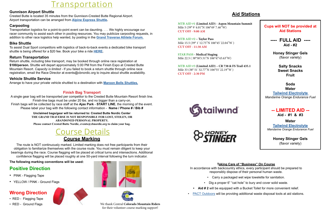## **Transportation**

#### <span id="page-4-0"></span>**Gunnison Airport Shuttle**

Crested Butte is located 35 minutes from the Gunnison-Crested Butte Regional Airport. Airport transportation can be arranged from **[Alpine Express Shuttle](https://letsride.co/locations/crested-butte/).**

#### **Carpooling**

Transportation logistics for a point-to-point event can be daunting. . . . We highly encourage our racer community to assist each other in pooling resources. You may publicize carpooling requests, in addition to other race logistics help wanted, by posting in the **Grand Traverse Athlete Forum.**

#### **Bike Shuttle**

To assist Dual Sport competitors with logistics of back-to-back events a dedicated bike transport shuttle is being offered for a \$20 fee. Book your bike a ride **[HERE.](https://docs.google.com/forms/d/e/1FAIpQLSd67bIIit484a6Jrx0p-GbB2ybk5JrDjItLC1oLCMQk5bAKWQ/viewform)**

#### **Return Transportation**

Return shuttle, including bike transport, may be booked through online race registration at **\$100/person.** Shuttle will depart approximately 5:00 PM from the Finish Expo at Crested Butte Mountain Resort. *Capacity is limited -* If you failed to book a return shuttle through online race registration, email the Race Director at events@cbnordic.org to inquire about shuttle availability.

#### **Vehicle Shuttle Service**

Arrange to have your private vehicle shuttled to a destination with **[Maroon Bells Shuttles.](https://maroonbellsshuttles.com/)**

#### **Finish Bag Transport**

• RED - Ground Flags We thank Central **Colorado Mountain Riders** for their volunteer course marking support!



A single gear bag will be transported per competitor to the Crested Butte Mountain Resort finish line. Finish-line bags must be under 20 lbs. and no bigger than a carry-on. Finish bags will be collected by race staff at the **Ajax Park** - **START LINE**, the morning of the event.

Please label your bag with the following contact information - **Name / Phone # / Bib # Unclaimed bags/gear will be returned to: Crested Butte Nordic Center THE GRAND TRAVERSE IS NOT RESPONSIBLE FOR LOST, STOLEN, OR ABANDONED PERSONAL PROPERTY.** 

**MTB AID #1 (Limited AID) - Aspen Mountain** Mile 5 (39° 9`4.01"N 106°49`7.46"W) **CUT OFF - 9:00 AM**

**Please contact Crested Butte Nordic, events@cbnordic.org to claim your bag.**

### Course Details **Course Marking**

**MTB AID #3 (Limited AID) – CR 738 & FS Trai** Mile 33 (38° 51`32.77"N 106°55`22.19"W ) **CUT OFF - 2:30 PM**



**STINGER** 

The route is NOT continuously marked. Limited marking does not free participants from their obligation to familiarize themselves with the course route. You must remain diligent to keep your bearings during the race. Course flagging will be placed at critical turns and intersections. Additional confidence flagging will be placed roughly at one 50-yard interval following the turn indicator.

**The following marking conventions will be used:**

#### **Positive Direction**

- PINK Flagging Tape
- YELLOW / PINK Ground Flags

#### **Wrong Direction**

- RED Flagging Tape
- 







#### **Aid Stations**

#### **Taking Care of "Business" On Course**

In accordance with backcountry ethics, every participant should be prepared to responsibly dispose of their personal human waste.

- 
- 
- 
- 

• Carry a packaged wet wipe towelette for sanitation.

• Dig a proper 6" "cat hole" to bury and cover solid waste.

**• Aid # 2** will be equipped with a Bucket Toilet for more convenient relief.

• [PACT Outdoors](https://pactoutdoors.com/) will be providng additional waste disposal tools at aid stations.

| Summit   | <b>Cups will NOT be provided at</b>    |  |  |  |
|----------|----------------------------------------|--|--|--|
|          | <b>Aid Stations</b>                    |  |  |  |
|          |                                        |  |  |  |
|          |                                        |  |  |  |
|          | $Aid - #2$                             |  |  |  |
|          |                                        |  |  |  |
|          | <b>Honey Stinger Gels</b>              |  |  |  |
|          | (flavor variety)                       |  |  |  |
|          |                                        |  |  |  |
| il 435.1 | <b>Salty Snacks</b>                    |  |  |  |
|          | <b>Sweet Snacks</b>                    |  |  |  |
|          | <b>Fruit</b>                           |  |  |  |
|          |                                        |  |  |  |
|          | Soda                                   |  |  |  |
|          | <b>Water</b>                           |  |  |  |
|          | <b>Tailwind Electrolyte</b>            |  |  |  |
|          | <b>Mandarine Orange Endurance Fuel</b> |  |  |  |
|          |                                        |  |  |  |
|          | -- LIMITED AID --                      |  |  |  |
|          | Aid - $#1$ & $#3$                      |  |  |  |
|          | Water                                  |  |  |  |
|          | <b>Tailwind Electrolyte</b>            |  |  |  |
|          | Mandarine Orange Endurance Fuel        |  |  |  |
|          |                                        |  |  |  |
|          | <b>Honey Stinger Gels</b>              |  |  |  |
|          | (flavor variety)                       |  |  |  |
|          |                                        |  |  |  |

**MTB AID #2 – Taylor Pass** Mile 15.5 (39° 1`12.75"N 106°45`22.04"W ) **CUT OFF - 11:30 AM**

**STAR PASS - Medical Staging** Mile 22.5 ( 38°58'5.51"N 106°47'43.63"W)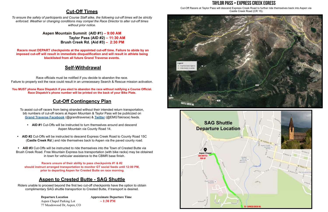#### **Cut-Off Times**

<span id="page-5-0"></span>*To ensure the safety of participants and Course Staff alike, the following cut-off times will be strictly enforced. Weather or changing conditions may compel the Race Director to alter cut-off times without prior notice.* 

> **Aspen Mountain Summit (AID #1) – 9:00 AM Taylor Pass (AID #2) – 11:30 AM Brush Creek Rd. (Aid #3) – 2:30 PM**

 **Racers must DEPART checkpoints at the appointed cut-off time. Failure to abide by an imposed cut-off will result in immediate disqualification and will result in athlete being blacklisted from all future Grand Traverse events.**

#### **Self-Withdrawal**

Race officials must be notified if you decide to abandon the race. Failure to properly exit the race could result in an unnecessary Search & Rescue mission activation.

**You MUST phone Race Dispatch if you elect to abandon the race without notifying a Course Official. Race Dispatch's phone number will be printed on the back of your Bike Plate.** 

### **Cut-Off Contingency Plan**

To assist cut-off racers from being stranded without their intended return transportation, bib numbers of cut-off racers at Aspen Mountain & Taylor Pass will be publicized on **[Grand Traverse Facebook](https://www.facebook.com/grandtraverse/)** (@grandtraverse) & **[Twitter](https://twitter.com/EMGTskirace)** (@EMGTskirace) feeds.

> **Departure Location Manufacture Approximate Departure Time** Aspen Chapel Parking Lot **~ 1:30 PM** 77 Meadowood Dr, Aspen, CO



- **• AID #1** Cut-Offs will be instructed to turn themselves around and descend Aspen Mountain via County Road 14.
- **• AID #2** Cut-Offs will be instructed to descend Express Creek Road to County Road 15C (**Castle Creek Rd**.) and ride themselves back to Aspen via the paved county road.

**• AID #3** Cut-Offs will be instructed to ride themselves into the Town of Crested Butte via Brush Creek Road. Free Mountain Express bus transportation (with bike racks) may be obtained in town for vehicular assistance to the CBMR base finish.

**Racers unsure of their ability to pass checkpoints #1 & #2 should instruct arranged transportation to monitor GT social feeds until 12:00 PM, prior to departing Aspen for Crested Butte on race morning.**

### **Aspen to Crested Butte - SAG Shuttle**

Riders unable to proceed beyond the first two cut-off checkpoints have the option to obtain complimentary SAG shuttle transportion to Crested Butte, if transport is desired.



Cut-Off Racers at Taylor Pass will descend Express Creek Road to further ride themselves back into Aspen via Castle Creek Road (CR 15).

#### **Taylor Pass > Express Creek Egress**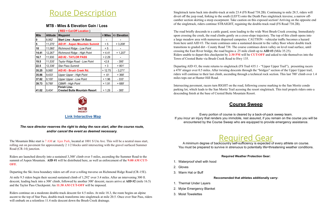#### **MTB - Miles & Elevation Gain / Loss**

<span id="page-6-0"></span>

|             |                 | <b>RED = Cut-Off Location )</b>                             |          |               |
|-------------|-----------------|-------------------------------------------------------------|----------|---------------|
| <b>Mile</b> | <b>Altitude</b> | <b>Waypoint</b>                                             | + Miles  | +/- Elevation |
| 0           | 8,062'          | <b>Start Line - Aspen 1A Base</b>                           | ٠        | ۰             |
| 5           | 11,270'         | AID #1 - Aspen Mountain Summit                              | + 5      | $+3,208'$     |
| 10          | 11,060'         | <b>Richmond Ridge - Low Point</b>                           | + 5      |               |
| 14.41       | 12,267'         | Richmond Ridge - High Point                                 | $+4.41$  | $+1,207'$     |
| 16.7        | 11,930          | <b>AID #2 - TAYLOR PASS</b>                                 | $+2.29$  |               |
| 19.5        | 11,535'         | Taylor Ridge Road - Low Point                               | $+2.8$   | $-395'$       |
| 22.5        | 12,336'         | <b>Star Pass Summit</b>                                     | + 3      | $+801'$       |
| 35.25       | 9,065'          | AID #3 - Brush Creek Rd.                                    | $+12.75$ | $-3,271'$     |
| 35.86       | 9,433'          | Upper Upper - High Point                                    | + .61    | +368'         |
| 37.82       | 9,100'          | <b>Upper Upper - Low Point</b>                              | $+1.96$  | $-333'$       |
| 39.73       | 9,789'          | <b>CBMR - High Point</b>                                    | $+1.91$  | +689'         |
| 41.02       | 9,404'          | <b>Finish Line-</b><br><b>Crested Butte Mountain Resort</b> | $+1.29$  | - 385'        |

The Mountain Bike start is 7 AM at Ajax Park, located at 1001 S Ute Ave. This will be a neutral mass start, rolling out on pavement for approximately 2 1/2 blocks until intersecting with the gravel surfaced Summer Road (CR-14) junction.

# Route Description



#### *[The race director reserves the right to delay the race start, alter the course route,](https://www.mtbproject.com/trail/7018294/grand-traverse-mountain-bike-course)  [and/or cancel the event as deemed necessary.](https://www.mtbproject.com/trail/7018294/grand-traverse-mountain-bike-course)*

Riders are launched directly into a sustained 3,300' climb over 5 miles, ascending the Summer Road to the summit of Aspen Mountain. **AID #1** will be distributed here, as well as enforcement of the **9:00 AM CUT-OFF.**

Departing the Ski Area boundary riders set off over a rolling traverse on Richmond Ridge Road (CR-15E).

At mile 9.5 riders begin their second sustained climb of 1,292' over 3.4 miles. After an intervening 300 ft. descent, leading back into a 300' climb, followed by another 300' descent, racers arrive at **AID #2** (mile 16.5) and the Taylor Pass Checkpoint. An **11:30 AM CUT-OFF** will be imposed.

Riders continue on a moderate double-track descent for 4.5 miles. At mile 18.3, the route begins an alpine ascent to the top of Star Pass, double-track transforms into singletrack at mile 20.5. Once over Star Pass, riders will embark on a relentless 11.4 mile descent down the Brush Creek drainage.

Singletrack turns back into double-track at mile 23.4 (FS Road 738.2B). Continuing to mile 28.5, riders will divert off the jeep road, forking to the south (LEFT) onto the Death Pass singletrack traverse, a narrow offcamber section skirting a steep escarpment. Take caution on this exposed section! Arriving on the opposite end of the singletrack, riders continue STRAIGHT, regaining the double-track road (FS Road 738.2B).

The road briefly descends to a cattle guard, soon leading to the wide West Brush Creek crossing. Immediately upon crossing the creek, the road climbs gently on a cross-slope trajectory. The top of this climb opens into a large meadow area with numerous dispersed campsites. CAUTION - vehicular traffic becomes a hazard from here until AID #3. The route continues onto a sustained descent to the valley floor where double track transitions to graded dirt - County Road 738. The course continues down valley on level road surface, until crossing the East River bridge, the road begins a .25 mile climb up to **AID #3** (Mile 35.25). Riders unable to depart this checkpoint by **2:30 PM** will be **CUT-OFF** and asked to ride themselves into the Town of Crested Butte via Brush Creek Road to Hwy 135.

Departing AID #3, the route returns to singletrack (FS Trail 435.1 - "Upper Upper Trail"), presenting racers a 470' stinger over 0.5 miles. After twisting descents through the "bridges" section of the Upper Upper trail, riders will continue to their last climb, ascending through a technical rock section. This last 700' climb over 1.4 miles tops out at Hunter Hill Road.

Intersecting pavement, racers turn RIGHT on the road, following course marking to the San Moritz condo parking lot, which leads to the San Moritz Trail acessing the resort singletrack. This trail propels riders onto a descending finish at the base of Crested Butte Mountain Resort.

#### **Course Sweep**

Every portion of course is cleared by a back-of-pack sweep team. If you incur an injury that renders you immobile, rest assured, if you remain on the course you will be encountered by the Course Sweep who are equipped to provide emergency assistance.

# **Required Gear A** minimum degree of backcountry self-sufficiency is expected of every athlete on course.

You must be prepared to survive in strenuous to potentially life=threatening weather conditions.

**Required Weather Protection Gear:**

- 1. Waterproof shell with hood
- 2. Gloves
- 3. Warm Hat or Buff

**Reccomended that athletes additionally carry:**

- 1. Thermal Under Layers
- 2. Mylar Emergency Blanket
- 3. Moist Towelettes